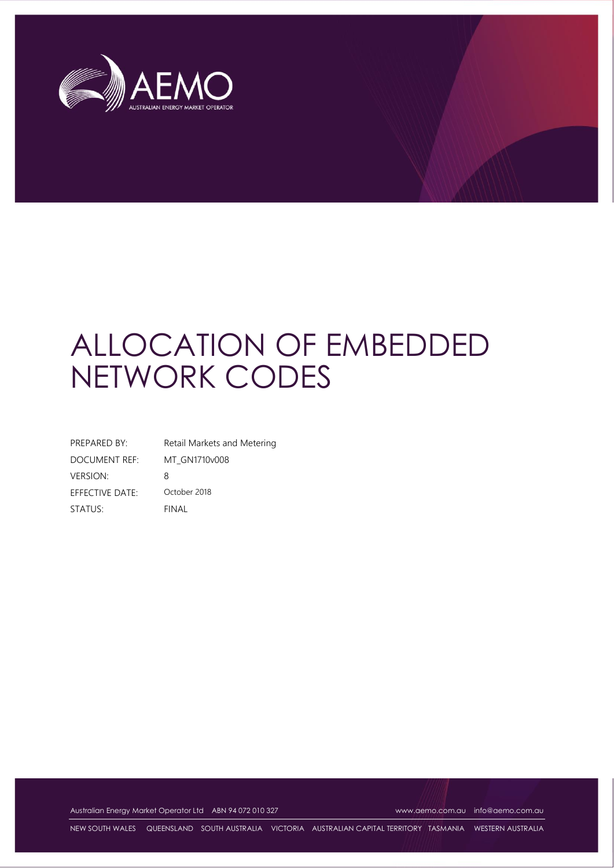

# ALLOCATION OF EMBEDDED NETWORK CODES

| PREPARED BY:    | Retail Markets and Metering |
|-----------------|-----------------------------|
| DOCUMENT REF:   | MT GN1710v008               |
| VERSION:        | 8                           |
| EFFECTIVE DATE: | October 2018                |
| STATUS:         | FINAL                       |

Australian Energy Market Operator Ltd ABN 94 072 010 327 [www.aemo.com.au](http://www.aemo.com.au/) [info@aemo.com.au](mailto:info@aemo.com.au) info@aemo.com.au

NEW SOUTH WALES QUEENSLAND SOUTH AUSTRALIA VICTORIA AUSTRALIAN CAPITAL TERRITORY TASMANIA WESTERN AUSTRALIA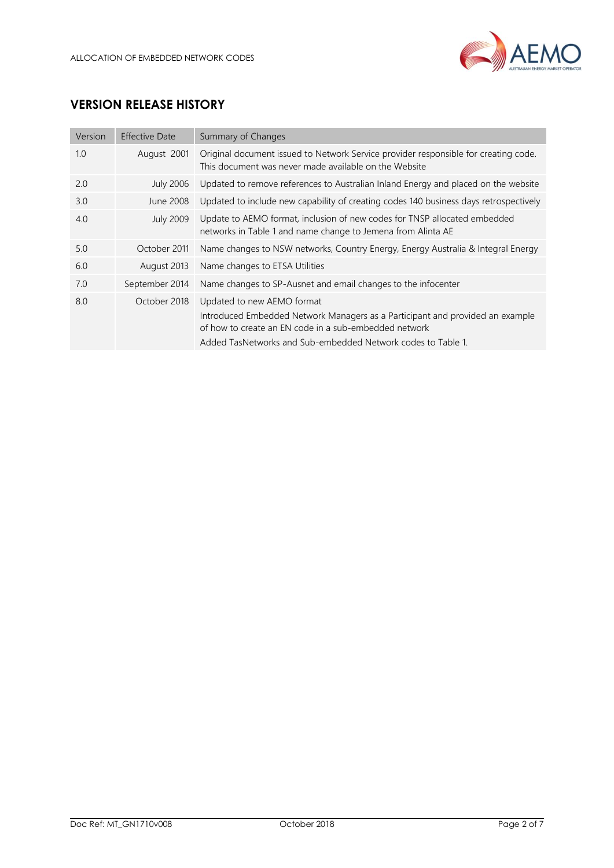

## **VERSION RELEASE HISTORY**

| Version | <b>Effective Date</b> | Summary of Changes                                                                                                                                                                                                                   |
|---------|-----------------------|--------------------------------------------------------------------------------------------------------------------------------------------------------------------------------------------------------------------------------------|
| 1.0     | August 2001           | Original document issued to Network Service provider responsible for creating code.<br>This document was never made available on the Website                                                                                         |
| 2.0     | <b>July 2006</b>      | Updated to remove references to Australian Inland Energy and placed on the website                                                                                                                                                   |
| 3.0     | June 2008             | Updated to include new capability of creating codes 140 business days retrospectively                                                                                                                                                |
| 4.0     | <b>July 2009</b>      | Update to AEMO format, inclusion of new codes for TNSP allocated embedded<br>networks in Table 1 and name change to Jemena from Alinta AE                                                                                            |
| 5.0     | October 2011          | Name changes to NSW networks, Country Energy, Energy Australia & Integral Energy                                                                                                                                                     |
| 6.0     | August 2013           | Name changes to ETSA Utilities                                                                                                                                                                                                       |
| 7.0     | September 2014        | Name changes to SP-Ausnet and email changes to the infocenter                                                                                                                                                                        |
| 8.0     | October 2018          | Updated to new AEMO format<br>Introduced Embedded Network Managers as a Participant and provided an example<br>of how to create an EN code in a sub-embedded network<br>Added TasNetworks and Sub-embedded Network codes to Table 1. |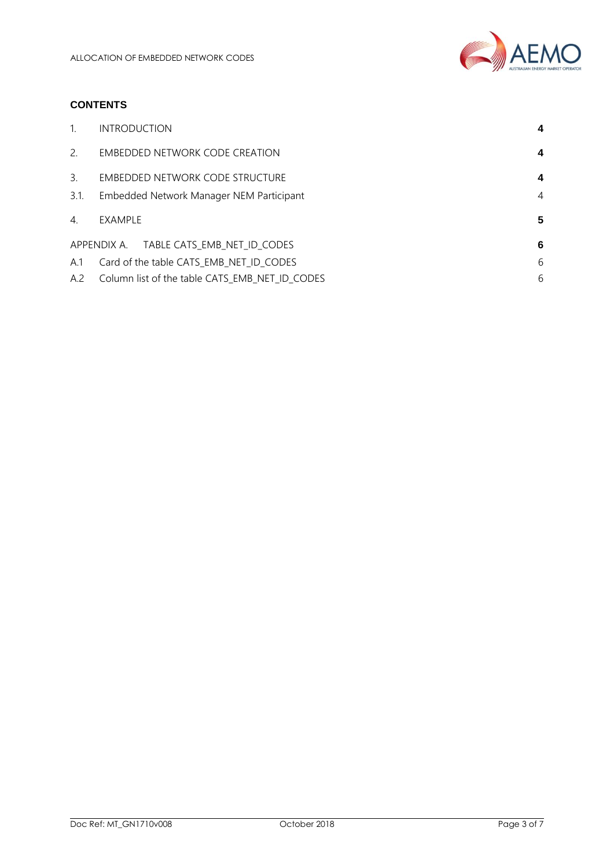

## **CONTENTS**

| $\mathbf{1}$ .   | <b>INTRODUCTION</b>                            | 4 |
|------------------|------------------------------------------------|---|
| $\mathcal{P}$    | EMBEDDED NETWORK CODE CREATION                 | 4 |
| 3.               | EMBEDDED NETWORK CODE STRUCTURE                | 4 |
| 3.1.             | Embedded Network Manager NEM Participant       | 4 |
| $\overline{4}$ . | EXAMPLE                                        | 5 |
|                  | APPENDIX A. TABLE CATS_EMB_NET_ID_CODES        | 6 |
| A.1              | Card of the table CATS_EMB_NET_ID_CODES        | 6 |
| A.2              | Column list of the table CATS EMB NET ID CODES | 6 |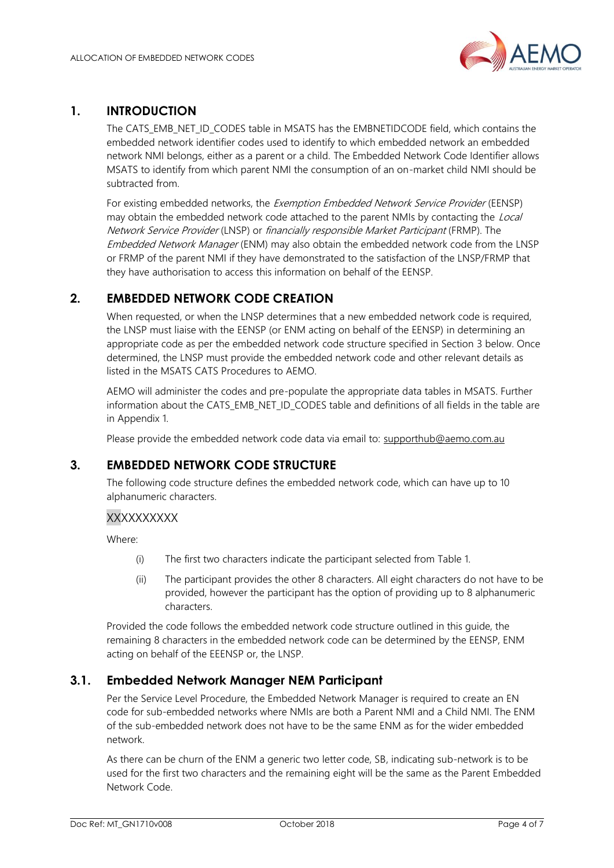

## <span id="page-3-0"></span>**1. INTRODUCTION**

The CATS\_EMB\_NET\_ID\_CODES table in MSATS has the EMBNETIDCODE field, which contains the embedded network identifier codes used to identify to which embedded network an embedded network NMI belongs, either as a parent or a child. The Embedded Network Code Identifier allows MSATS to identify from which parent NMI the consumption of an on-market child NMI should be subtracted from.

For existing embedded networks, the Exemption Embedded Network Service Provider (EENSP) may obtain the embedded network code attached to the parent NMIs by contacting the Local Network Service Provider (LNSP) or financially responsible Market Participant (FRMP). The Embedded Network Manager (ENM) may also obtain the embedded network code from the LNSP or FRMP of the parent NMI if they have demonstrated to the satisfaction of the LNSP/FRMP that they have authorisation to access this information on behalf of the EENSP.

## <span id="page-3-1"></span>**2. EMBEDDED NETWORK CODE CREATION**

When requested, or when the LNSP determines that a new embedded network code is required, the LNSP must liaise with the EENSP (or ENM acting on behalf of the EENSP) in determining an appropriate code as per the embedded network code structure specified in Section 3 below. Once determined, the LNSP must provide the embedded network code and other relevant details as listed in the MSATS CATS Procedures to AEMO.

AEMO will administer the codes and pre-populate the appropriate data tables in MSATS. Further information about the CATS\_EMB\_NET\_ID\_CODES table and definitions of all fields in the table are in Appendix 1.

Please provide the embedded network code data via email to: [supporthub@aemo.com.au](mailto:supporthub@aemo.com.au)

## <span id="page-3-2"></span>**3. EMBEDDED NETWORK CODE STRUCTURE**

The following code structure defines the embedded network code, which can have up to 10 alphanumeric characters.

### **XXXXXXXXX**

Where:

- (i) The first two characters indicate the participant selected from Table 1.
- (ii) The participant provides the other 8 characters. All eight characters do not have to be provided, however the participant has the option of providing up to 8 alphanumeric characters.

Provided the code follows the embedded network code structure outlined in this guide, the remaining 8 characters in the embedded network code can be determined by the EENSP, ENM acting on behalf of the EEENSP or, the LNSP.

## <span id="page-3-3"></span>**3.1. Embedded Network Manager NEM Participant**

Per the Service Level Procedure, the Embedded Network Manager is required to create an EN code for sub-embedded networks where NMIs are both a Parent NMI and a Child NMI. The ENM of the sub-embedded network does not have to be the same ENM as for the wider embedded network.

As there can be churn of the ENM a generic two letter code, SB, indicating sub-network is to be used for the first two characters and the remaining eight will be the same as the Parent Embedded Network Code.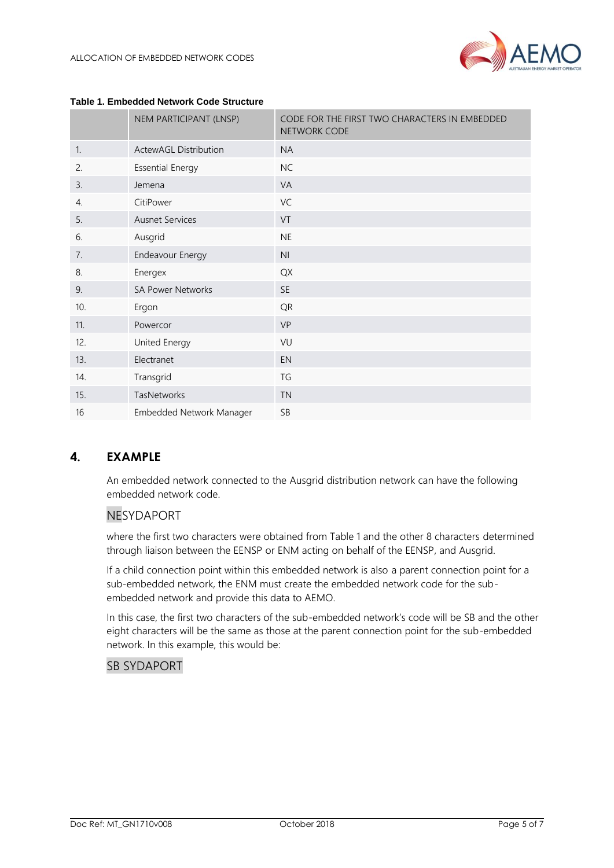|                  | NEM PARTICIPANT (LNSP)       | CODE FOR THE FIRST TWO CHARACTERS IN EMBEDDED<br>NETWORK CODE |  |  |  |
|------------------|------------------------------|---------------------------------------------------------------|--|--|--|
| $\mathbf{1}$ .   | <b>ActewAGL Distribution</b> | <b>NA</b>                                                     |  |  |  |
| 2.               | <b>Essential Energy</b>      | <b>NC</b>                                                     |  |  |  |
| 3.               | Jemena                       | VA                                                            |  |  |  |
| $\overline{4}$ . | CitiPower                    | VC                                                            |  |  |  |
| 5.               | <b>Ausnet Services</b>       | VT                                                            |  |  |  |
| 6.               | Ausgrid                      | <b>NE</b>                                                     |  |  |  |
| 7.               | Endeavour Energy             | N <sub>l</sub>                                                |  |  |  |
| 8.               | Energex                      | QX                                                            |  |  |  |
| 9.               | <b>SA Power Networks</b>     | <b>SE</b>                                                     |  |  |  |
| 10.              | Ergon                        | QR                                                            |  |  |  |
| 11.              | Powercor                     | <b>VP</b>                                                     |  |  |  |
| 12.              | United Energy                | VU                                                            |  |  |  |
| 13.              | Electranet                   | <b>EN</b>                                                     |  |  |  |
| 14.              | Transgrid                    | TG                                                            |  |  |  |
| 15.              | TasNetworks                  | <b>TN</b>                                                     |  |  |  |
| 16               | Embedded Network Manager     | SB                                                            |  |  |  |

#### **Table 1. Embedded Network Code Structure**

## <span id="page-4-0"></span>**4. EXAMPLE**

An embedded network connected to the Ausgrid distribution network can have the following embedded network code.

## NESYDAPORT

where the first two characters were obtained from Table 1 and the other 8 characters determined through liaison between the EENSP or ENM acting on behalf of the EENSP, and Ausgrid.

If a child connection point within this embedded network is also a parent connection point for a sub-embedded network, the ENM must create the embedded network code for the subembedded network and provide this data to AEMO.

In this case, the first two characters of the sub-embedded network's code will be SB and the other eight characters will be the same as those at the parent connection point for the sub-embedded network. In this example, this would be:

## SB SYDAPORT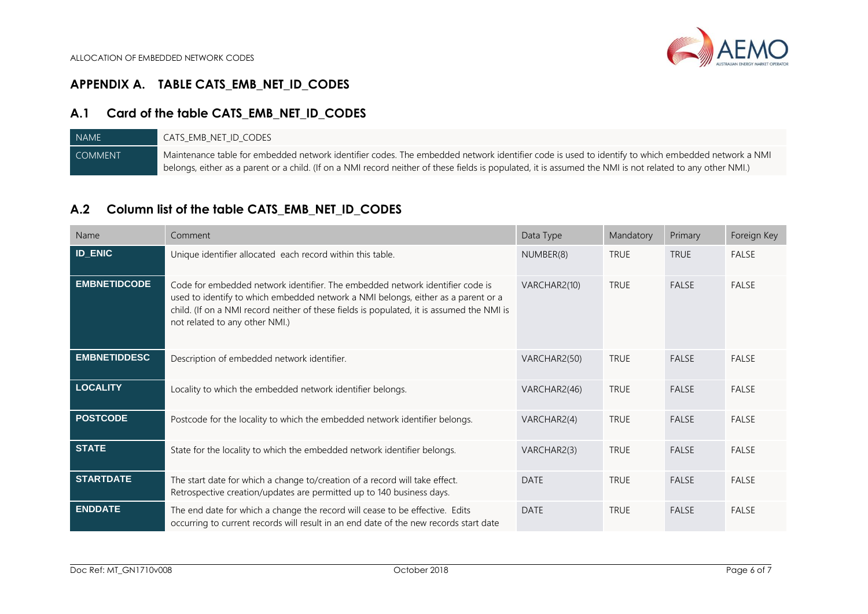## **APPENDIX A. TABLE CATS\_EMB\_NET\_ID\_CODES**

# **A.1 Card of the table CATS\_EMB\_NET\_ID\_CODES**

| NAME <sup>T</sup> | cats emb net id codes                                                                                                                                     |
|-------------------|-----------------------------------------------------------------------------------------------------------------------------------------------------------|
| <b>COMMENT</b>    | Maintenance table for embedded network identifier codes. The embedded network identifier code is used to identify to which embedded network a NMI         |
|                   | belongs, either as a parent or a child. (If on a NMI record neither of these fields is populated, it is assumed the NMI is not related to any other NMI.) |

## **A.2 Column list of the table CATS\_EMB\_NET\_ID\_CODES**

<span id="page-5-2"></span><span id="page-5-1"></span><span id="page-5-0"></span>

| Name                | Comment                                                                                                                                                                                                                                                                                           | Data Type    | Mandatory   | Primary      | Foreign Key  |
|---------------------|---------------------------------------------------------------------------------------------------------------------------------------------------------------------------------------------------------------------------------------------------------------------------------------------------|--------------|-------------|--------------|--------------|
| <b>ID_ENIC</b>      | Unique identifier allocated each record within this table.                                                                                                                                                                                                                                        | NUMBER(8)    | <b>TRUE</b> | <b>TRUE</b>  | FALSE        |
| <b>EMBNETIDCODE</b> | Code for embedded network identifier. The embedded network identifier code is<br>used to identify to which embedded network a NMI belongs, either as a parent or a<br>child. (If on a NMI record neither of these fields is populated, it is assumed the NMI is<br>not related to any other NMI.) | VARCHAR2(10) | <b>TRUE</b> | FALSE        | FALSE        |
| <b>EMBNETIDDESC</b> | Description of embedded network identifier.                                                                                                                                                                                                                                                       | VARCHAR2(50) | <b>TRUE</b> | <b>FALSE</b> | <b>FALSE</b> |
| <b>LOCALITY</b>     | Locality to which the embedded network identifier belongs.                                                                                                                                                                                                                                        | VARCHAR2(46) | <b>TRUE</b> | <b>FALSE</b> | <b>FALSE</b> |
| <b>POSTCODE</b>     | Postcode for the locality to which the embedded network identifier belongs.                                                                                                                                                                                                                       | VARCHAR2(4)  | <b>TRUE</b> | <b>FALSE</b> | <b>FALSE</b> |
| <b>STATE</b>        | State for the locality to which the embedded network identifier belongs.                                                                                                                                                                                                                          | VARCHAR2(3)  | <b>TRUE</b> | <b>FALSE</b> | <b>FALSE</b> |
| <b>STARTDATE</b>    | The start date for which a change to/creation of a record will take effect.<br>Retrospective creation/updates are permitted up to 140 business days.                                                                                                                                              | <b>DATE</b>  | <b>TRUE</b> | FALSE        | FALSE        |
| <b>ENDDATE</b>      | The end date for which a change the record will cease to be effective. Edits<br>occurring to current records will result in an end date of the new records start date                                                                                                                             | <b>DATE</b>  | <b>TRUE</b> | <b>FALSE</b> | <b>FALSE</b> |